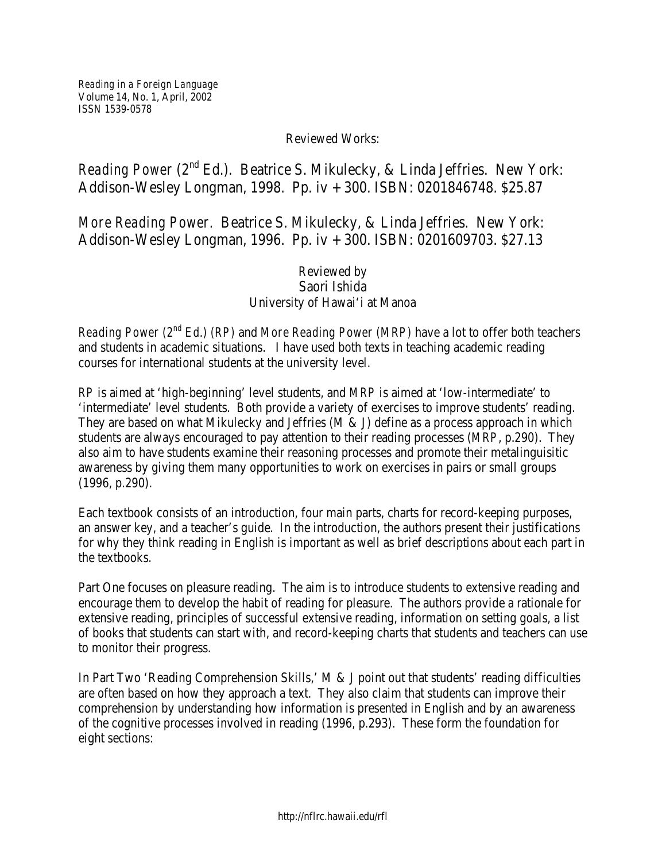## Reviewed Works:

## *Reading Power* (2<sup>nd</sup> Ed.). Beatrice S. Mikulecky, & Linda Jeffries. New York: Addison-Wesley Longman, 1998. Pp. iv + 300. ISBN: 0201846748. \$25.87

## *More Reading Power.* Beatrice S. Mikulecky, & Linda Jeffries. New York: Addison-Wesley Longman, 1996. Pp. iv + 300. ISBN: 0201609703. \$27.13

## Reviewed by Saori Ishida University of Hawai'i at Manoa

*Reading Power (2nd Ed.) (RP)* and *More Reading Power (MRP)* have a lot to offer both teachers and students in academic situations. I have used both texts in teaching academic reading courses for international students at the university level.

*RP* is aimed at 'high-beginning' level students, and *MRP* is aimed at 'low-intermediate' to 'intermediate' level students. Both provide a variety of exercises to improve students' reading. They are based on what Mikulecky and Jeffries (M & J) define as a process approach in which students are always encouraged to pay attention to their reading processes (*MRP*, p.290). They also aim to have students examine their reasoning processes and promote their metalinguisitic awareness by giving them many opportunities to work on exercises in pairs or small groups (1996, p.290).

Each textbook consists of an introduction, four main parts, charts for record-keeping purposes, an answer key, and a teacher's guide. In the introduction, the authors present their justifications for why they think reading in English is important as well as brief descriptions about each part in the textbooks.

Part One focuses on pleasure reading. The aim is to introduce students to extensive reading and encourage them to develop the habit of reading for pleasure. The authors provide a rationale for extensive reading, principles of successful extensive reading, information on setting goals, a list of books that students can start with, and record-keeping charts that students and teachers can use to monitor their progress.

In Part Two 'Reading Comprehension Skills,' M & J point out that students' reading difficulties are often based on how they approach a text. They also claim that students can improve their comprehension by understanding how information is presented in English and by an awareness of the cognitive processes involved in reading (1996, p.293). These form the foundation for eight sections: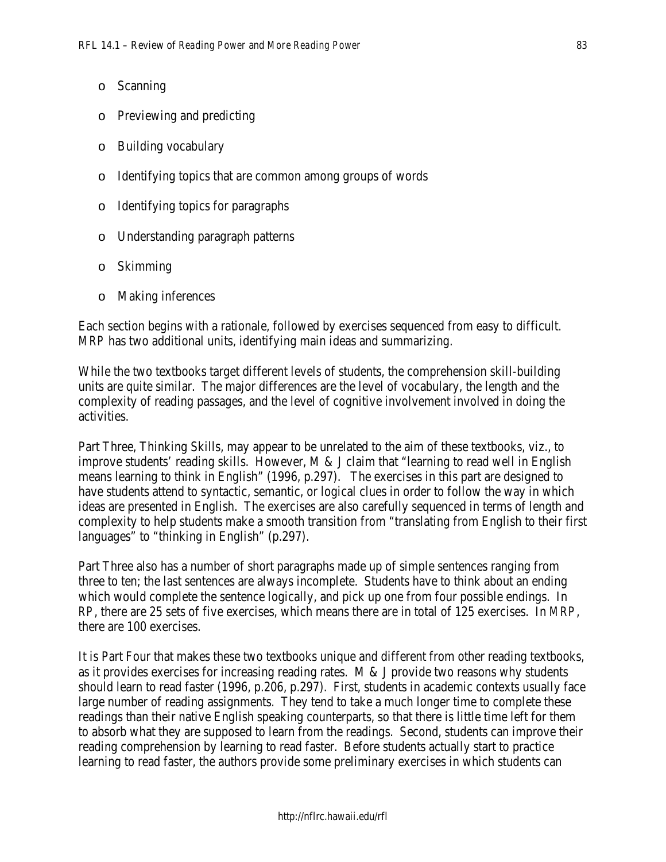- o Scanning
- o Previewing and predicting
- o Building vocabulary
- o Identifying topics that are common among groups of words
- o Identifying topics for paragraphs
- o Understanding paragraph patterns
- o Skimming
- o Making inferences

Each section begins with a rationale, followed by exercises sequenced from easy to difficult. *MRP* has two additional units, identifying main ideas and summarizing.

While the two textbooks target different levels of students, the comprehension skill-building units are quite similar. The major differences are the level of vocabulary, the length and the complexity of reading passages, and the level of cognitive involvement involved in doing the activities.

Part Three, Thinking Skills, may appear to be unrelated to the aim of these textbooks, viz., to improve students' reading skills. However, M & J claim that "learning to read well in English means learning to think in English" (1996, p.297). The exercises in this part are designed to have students attend to syntactic, semantic, or logical clues in order to follow the way in which ideas are presented in English. The exercises are also carefully sequenced in terms of length and complexity to help students make a smooth transition from "translating from English to their first languages" to "thinking in English" (p.297).

Part Three also has a number of short paragraphs made up of simple sentences ranging from three to ten; the last sentences are always incomplete. Students have to think about an ending which would complete the sentence logically, and pick up one from four possible endings. In *RP*, there are 25 sets of five exercises, which means there are in total of 125 exercises. In *MRP*, there are 100 exercises.

It is Part Four that makes these two textbooks unique and different from other reading textbooks, as it provides exercises for increasing reading rates. M & J provide two reasons why students should learn to read faster (1996, p.206, p.297). First, students in academic contexts usually face large number of reading assignments. They tend to take a much longer time to complete these readings than their native English speaking counterparts, so that there is little time left for them to absorb what they are supposed to learn from the readings. Second, students can improve their reading comprehension by learning to read faster. Before students actually start to practice learning to read faster, the authors provide some preliminary exercises in which students can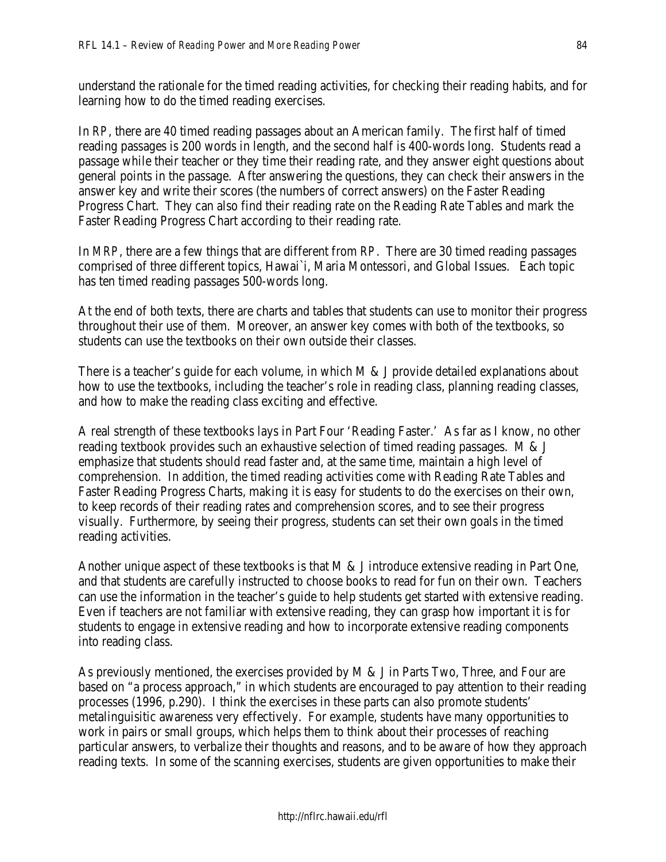understand the rationale for the timed reading activities, for checking their reading habits, and for learning how to do the timed reading exercises.

In *RP*, there are 40 timed reading passages about an American family. The first half of timed reading passages is 200 words in length, and the second half is 400-words long. Students read a passage while their teacher or they time their reading rate, and they answer eight questions about general points in the passage. After answering the questions, they can check their answers in the answer key and write their scores (the numbers of correct answers) on the Faster Reading Progress Chart. They can also find their reading rate on the Reading Rate Tables and mark the Faster Reading Progress Chart according to their reading rate.

In *MRP*, there are a few things that are different from *RP*. There are 30 timed reading passages comprised of three different topics, Hawai`i, Maria Montessori, and Global Issues. Each topic has ten timed reading passages 500-words long.

At the end of both texts, there are charts and tables that students can use to monitor their progress throughout their use of them. Moreover, an answer key comes with both of the textbooks, so students can use the textbooks on their own outside their classes.

There is a teacher's guide for each volume, in which M & J provide detailed explanations about how to use the textbooks, including the teacher's role in reading class, planning reading classes, and how to make the reading class exciting and effective.

A real strength of these textbooks lays in Part Four 'Reading Faster.' As far as I know, no other reading textbook provides such an exhaustive selection of timed reading passages. M & J emphasize that students should read faster and, at the same time, maintain a high level of comprehension. In addition, the timed reading activities come with Reading Rate Tables and Faster Reading Progress Charts, making it is easy for students to do the exercises on their own, to keep records of their reading rates and comprehension scores, and to see their progress visually. Furthermore, by seeing their progress, students can set their own goals in the timed reading activities.

Another unique aspect of these textbooks is that M & J introduce extensive reading in Part One, and that students are carefully instructed to choose books to read for fun on their own. Teachers can use the information in the teacher's guide to help students get started with extensive reading. Even if teachers are not familiar with extensive reading, they can grasp how important it is for students to engage in extensive reading and how to incorporate extensive reading components into reading class.

As previously mentioned, the exercises provided by M & J in Parts Two, Three, and Four are based on "a process approach," in which students are encouraged to pay attention to their reading processes (1996, p.290). I think the exercises in these parts can also promote students' metalinguisitic awareness very effectively. For example, students have many opportunities to work in pairs or small groups, which helps them to think about their processes of reaching particular answers, to verbalize their thoughts and reasons, and to be aware of how they approach reading texts. In some of the scanning exercises, students are given opportunities to make their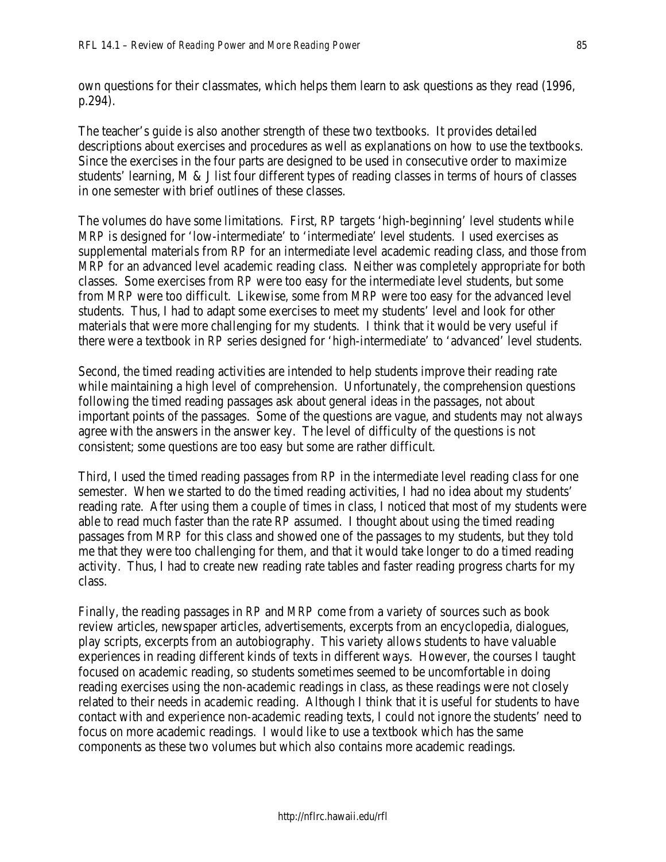own questions for their classmates, which helps them learn to ask questions as they read (1996, p.294).

The teacher's guide is also another strength of these two textbooks. It provides detailed descriptions about exercises and procedures as well as explanations on how to use the textbooks. Since the exercises in the four parts are designed to be used in consecutive order to maximize students' learning, M & J list four different types of reading classes in terms of hours of classes in one semester with brief outlines of these classes.

The volumes do have some limitations. First, *RP* targets 'high-beginning' level students while *MRP* is designed for 'low-intermediate' to 'intermediate' level students. I used exercises as supplemental materials from *RP* for an intermediate level academic reading class, and those from *MRP* for an advanced level academic reading class. Neither was completely appropriate for both classes. Some exercises from *RP* were too easy for the intermediate level students, but some from *MRP* were too difficult. Likewise, some from *MRP* were too easy for the advanced level students. Thus, I had to adapt some exercises to meet my students' level and look for other materials that were more challenging for my students. I think that it would be very useful if there were a textbook in *RP* series designed for 'high-intermediate' to 'advanced' level students.

Second, the timed reading activities are intended to help students improve their reading rate while maintaining a high level of comprehension. Unfortunately, the comprehension questions following the timed reading passages ask about general ideas in the passages, not about important points of the passages. Some of the questions are vague, and students may not always agree with the answers in the answer key. The level of difficulty of the questions is not consistent; some questions are too easy but some are rather difficult.

Third, I used the timed reading passages from *RP* in the intermediate level reading class for one semester. When we started to do the timed reading activities, I had no idea about my students' reading rate. After using them a couple of times in class, I noticed that most of my students were able to read much faster than the rate *RP* assumed. I thought about using the timed reading passages from *MRP* for this class and showed one of the passages to my students, but they told me that they were too challenging for them, and that it would take longer to do a timed reading activity. Thus, I had to create new reading rate tables and faster reading progress charts for my class.

Finally, the reading passages in *RP* and *MRP* come from a variety of sources such as book review articles, newspaper articles, advertisements, excerpts from an encyclopedia, dialogues, play scripts, excerpts from an autobiography. This variety allows students to have valuable experiences in reading different kinds of texts in different ways. However, the courses I taught focused on academic reading, so students sometimes seemed to be uncomfortable in doing reading exercises using the non-academic readings in class, as these readings were not closely related to their needs in academic reading. Although I think that it is useful for students to have contact with and experience non-academic reading texts, I could not ignore the students' need to focus on more academic readings. I would like to use a textbook which has the same components as these two volumes but which also contains more academic readings.